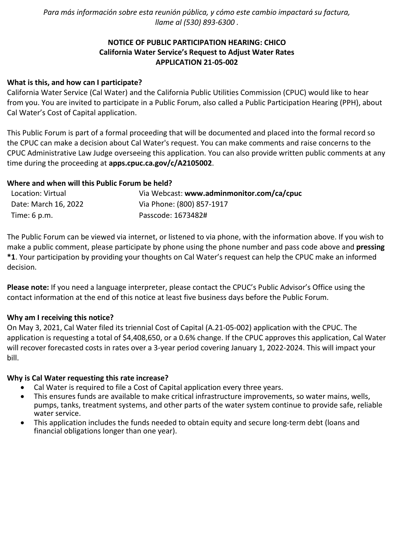*Para más información sobre esta reunión pública, y cómo este cambio impactará su factura, llame al (530) 893-6300 .*

# **NOTICE OF PUBLIC PARTICIPATION HEARING: CHICO California Water Service's Request to Adjust Water Rates APPLICATION 21-05-002**

## **What is this, and how can I participate?**

California Water Service (Cal Water) and the California Public Utilities Commission (CPUC) would like to hear from you. You are invited to participate in a Public Forum, also called a Public Participation Hearing (PPH), about Cal Water's Cost of Capital application.

This Public Forum is part of a formal proceeding that will be documented and placed into the formal record so the CPUC can make a decision about Cal Water's request. You can make comments and raise concerns to the CPUC Administrative Law Judge overseeing this application. You can also provide written public comments at any time during the proceeding at **[apps.cpuc.ca.gov/c/A2105002](https://apps.cpuc.ca.gov/apex/f?p=401:65:0::NO:RP,57,RIR:P5_PROCEEDING_SELECT:A2105002)**.

## **Where and when will this Public Forum be held?**

| Location: Virtual    | Via Webcast: www.adminmonitor.com/ca/cpuc |
|----------------------|-------------------------------------------|
| Date: March 16, 2022 | Via Phone: (800) 857-1917                 |
| Time: 6 p.m.         | Passcode: 1673482#                        |

The Public Forum can be viewed via internet, or listened to via phone, with the information above. If you wish to make a public comment, please participate by phone using the phone number and pass code above and **pressing \*1**. Your participation by providing your thoughts on Cal Water's request can help the CPUC make an informed decision.

**Please note:** If you need a language interpreter, please contact the CPUC's Public Advisor's Office using the contact information at the end of this notice at least five business days before the Public Forum.

#### **Why am I receiving this notice?**

On May 3, 2021, Cal Water filed its triennial Cost of Capital (A.21-05-002) application with the CPUC. The application is requesting a total of \$4,408,650, or a 0.6% change. If the CPUC approves this application, Cal Water will recover forecasted costs in rates over a 3-year period covering January 1, 2022-2024. This will impact your bill.

#### **Why is Cal Water requesting this rate increase?**

- Cal Water is required to file a Cost of Capital application every three years.
- This ensures funds are available to make critical infrastructure improvements, so water mains, wells, pumps, tanks, treatment systems, and other parts of the water system continue to provide safe, reliable water service.
- This application includes the funds needed to obtain equity and secure long-term debt (loans and financial obligations longer than one year).